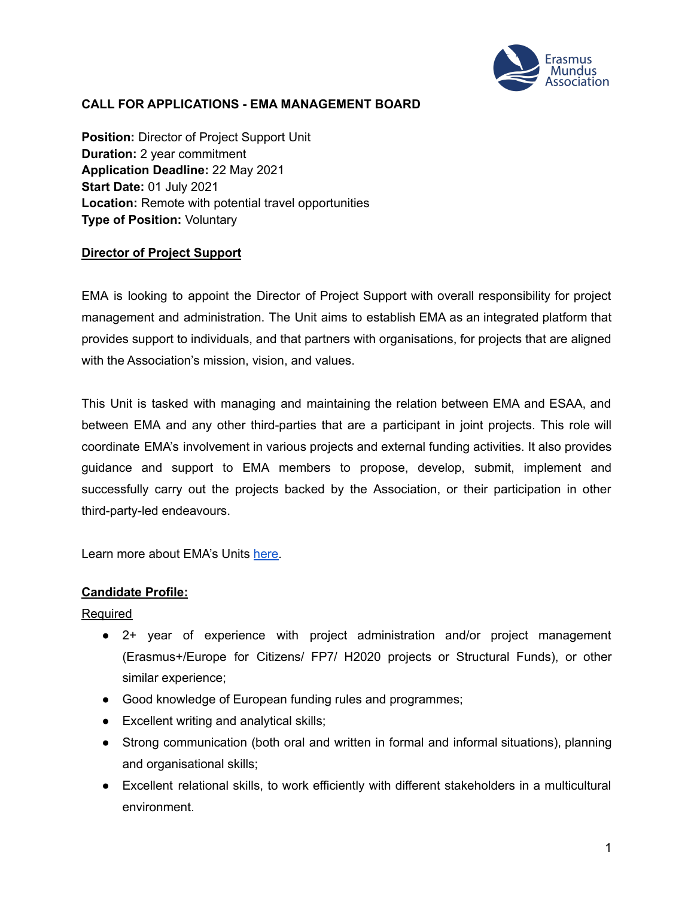

## **CALL FOR APPLICATIONS - EMA MANAGEMENT BOARD**

**Position:** Director of Project Support Unit **Duration:** 2 year commitment **Application Deadline:** 22 May 2021 **Start Date:** 01 July 2021 **Location:** Remote with potential travel opportunities **Type of Position:** Voluntary

#### **Director of Project Support**

EMA is looking to appoint the Director of Project Support with overall responsibility for project management and administration. The Unit aims to establish EMA as an integrated platform that provides support to individuals, and that partners with organisations, for projects that are aligned with the Association's mission, vision, and values.

This Unit is tasked with managing and maintaining the relation between EMA and ESAA, and between EMA and any other third-parties that are a participant in joint projects. This role will coordinate EMA's involvement in various projects and external funding activities. It also provides guidance and support to EMA members to propose, develop, submit, implement and successfully carry out the projects backed by the Association, or their participation in other third-party-led endeavours.

Learn more about EMA's Units [here.](https://www.em-a.eu/structure-and-history)

#### **Candidate Profile:**

Required

- 2+ year of experience with project administration and/or project management (Erasmus+/Europe for Citizens/ FP7/ H2020 projects or Structural Funds), or other similar experience;
- Good knowledge of European funding rules and programmes;
- Excellent writing and analytical skills;
- Strong communication (both oral and written in formal and informal situations), planning and organisational skills;
- Excellent relational skills, to work efficiently with different stakeholders in a multicultural environment.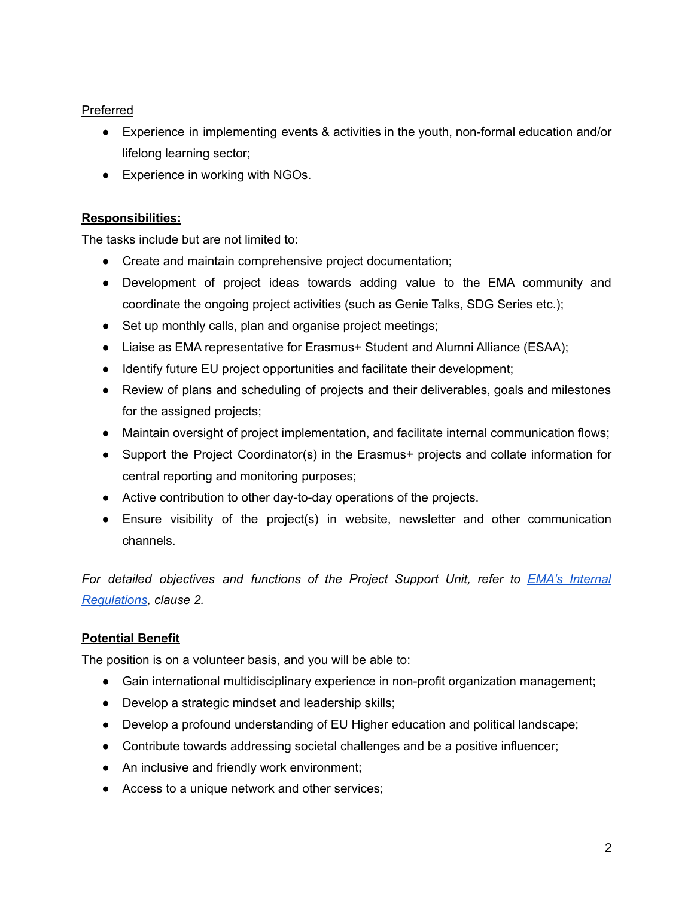## Preferred

- Experience in implementing events & activities in the youth, non-formal education and/or lifelong learning sector;
- Experience in working with NGOs.

## **Responsibilities:**

The tasks include but are not limited to:

- Create and maintain comprehensive project documentation;
- Development of project ideas towards adding value to the EMA community and coordinate the ongoing project activities (such as Genie Talks, SDG Series etc.);
- Set up monthly calls, plan and organise project meetings;
- Liaise as EMA representative for Erasmus+ Student and Alumni Alliance (ESAA);
- Identify future EU project opportunities and facilitate their development;
- Review of plans and scheduling of projects and their deliverables, goals and milestones for the assigned projects;
- Maintain oversight of project implementation, and facilitate internal communication flows;
- Support the Project Coordinator(s) in the Erasmus+ projects and collate information for central reporting and monitoring purposes;
- Active contribution to other day-to-day operations of the projects.
- Ensure visibility of the project(s) in website, newsletter and other communication channels.

*For detailed objectives and functions of the Project Support Unit, refer to EMA's [Internal](https://www.em-a.eu/documents) [Regulations](https://www.em-a.eu/documents), clause 2.*

# **Potential Benefit**

The position is on a volunteer basis, and you will be able to:

- **●** Gain international multidisciplinary experience in non-profit organization management;
- **●** Develop a strategic mindset and leadership skills;
- **●** Develop a profound understanding of EU Higher education and political landscape;
- **●** Contribute towards addressing societal challenges and be a positive influencer;
- **●** An inclusive and friendly work environment;
- **●** Access to a unique network and other services;